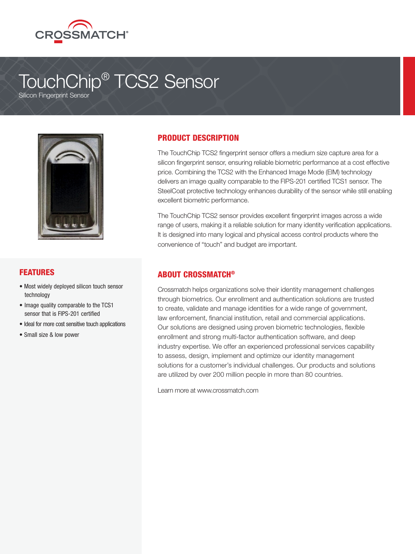

# TouchChip® TCS2 Sensor

Silicon Fingerprint Sensor



#### FEATURES

- Most widely deployed silicon touch sensor technology
- Image quality comparable to the TCS1 sensor that is FIPS-201 certified
- Ideal for more cost sensitive touch applications
- Small size & low power

### PRODUCT DESCRIPTION

The TouchChip TCS2 fingerprint sensor offers a medium size capture area for a silicon fingerprint sensor, ensuring reliable biometric performance at a cost effective price. Combining the TCS2 with the Enhanced Image Mode (EIM) technology delivers an image quality comparable to the FIPS-201 certified TCS1 sensor. The SteelCoat protective technology enhances durability of the sensor while still enabling excellent biometric performance.

The TouchChip TCS2 sensor provides excellent fingerprint images across a wide range of users, making it a reliable solution for many identity verification applications. It is designed into many logical and physical access control products where the convenience of "touch" and budget are important.

#### ABOUT CROSSMATCH®

Crossmatch helps organizations solve their identity management challenges through biometrics. Our enrollment and authentication solutions are trusted to create, validate and manage identities for a wide range of government, law enforcement, financial institution, retail and commercial applications. Our solutions are designed using proven biometric technologies, flexible enrollment and strong multi-factor authentication software, and deep industry expertise. We offer an experienced professional services capability to assess, design, implement and optimize our identity management solutions for a customer's individual challenges. Our products and solutions are utilized by over 200 million people in more than 80 countries.

Learn more at www.crossmatch.com